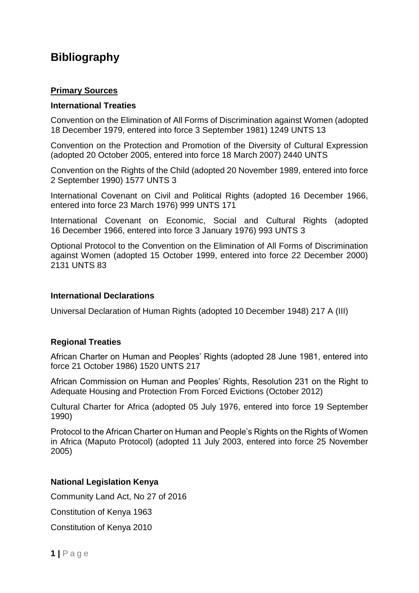# **Bibliography**

## **Primary Sources**

#### **International Treaties**

Convention on the Elimination of All Forms of Discrimination against Women (adopted 18 December 1979, entered into force 3 September 1981) 1249 UNTS 13

Convention on the Protection and Promotion of the Diversity of Cultural Expression (adopted 20 October 2005, entered into force 18 March 2007) 2440 UNTS

Convention on the Rights of the Child (adopted 20 November 1989, entered into force 2 September 1990) 1577 UNTS 3

International Covenant on Civil and Political Rights (adopted 16 December 1966, entered into force 23 March 1976) 999 UNTS 171

International Covenant on Economic, Social and Cultural Rights (adopted 16 December 1966, entered into force 3 January 1976) 993 UNTS 3

Optional Protocol to the Convention on the Elimination of All Forms of Discrimination against Women (adopted 15 October 1999, entered into force 22 December 2000) 2131 UNTS 83

#### **International Declarations**

Universal Declaration of Human Rights (adopted 10 December 1948) 217 A (III)

## **Regional Treaties**

African Charter on Human and Peoples' Rights (adopted 28 June 1981, entered into force 21 October 1986) 1520 UNTS 217

African Commission on Human and Peoples' Rights, Resolution 231 on the Right to Adequate Housing and Protection From Forced Evictions (October 2012)

Cultural Charter for Africa (adopted 05 July 1976, entered into force 19 September 1990)

Protocol to the African Charter on Human and People's Rights on the Rights of Women in Africa (Maputo Protocol) (adopted 11 July 2003, entered into force 25 November 2005)

## **National Legislation Kenya**

Community Land Act, No 27 of 2016

Constitution of Kenya 1963

Constitution of Kenya 2010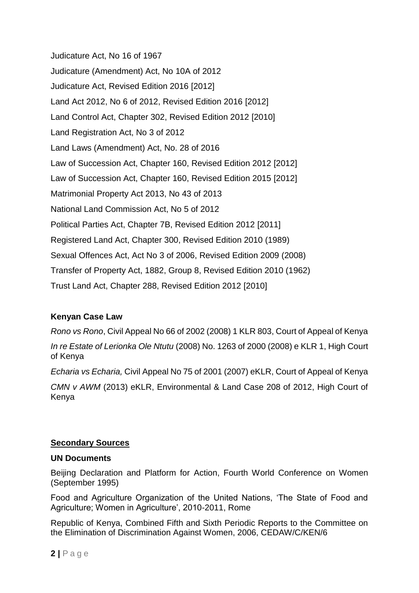Judicature Act, No 16 of 1967 Judicature (Amendment) Act, No 10A of 2012 Judicature Act, Revised Edition 2016 [2012] Land Act 2012, No 6 of 2012, Revised Edition 2016 [2012] Land Control Act, Chapter 302, Revised Edition 2012 [2010] Land Registration Act, No 3 of 2012 Land Laws (Amendment) Act, No. 28 of 2016 Law of Succession Act, Chapter 160, Revised Edition 2012 [2012] Law of Succession Act, Chapter 160, Revised Edition 2015 [2012] Matrimonial Property Act 2013, No 43 of 2013 National Land Commission Act, No 5 of 2012 Political Parties Act, Chapter 7B, Revised Edition 2012 [2011] Registered Land Act, Chapter 300, Revised Edition 2010 (1989) Sexual Offences Act, Act No 3 of 2006, Revised Edition 2009 (2008) Transfer of Property Act, 1882, Group 8, Revised Edition 2010 (1962) Trust Land Act, Chapter 288, Revised Edition 2012 [2010]

# **Kenyan Case Law**

*Rono vs Rono*, Civil Appeal No 66 of 2002 (2008) 1 KLR 803, Court of Appeal of Kenya *In re Estate of Lerionka Ole Ntutu* (2008) No. 1263 of 2000 (2008) e KLR 1, High Court of Kenya

*Echaria vs Echaria,* Civil Appeal No 75 of 2001 (2007) eKLR, Court of Appeal of Kenya

*CMN v AWM* (2013) eKLR, Environmental & Land Case 208 of 2012, High Court of Kenya

# **Secondary Sources**

## **UN Documents**

Beijing Declaration and Platform for Action, Fourth World Conference on Women (September 1995)

Food and Agriculture Organization of the United Nations, 'The State of Food and Agriculture; Women in Agriculture', 2010-2011, Rome

Republic of Kenya, Combined Fifth and Sixth Periodic Reports to the Committee on the Elimination of Discrimination Against Women, 2006, CEDAW/C/KEN/6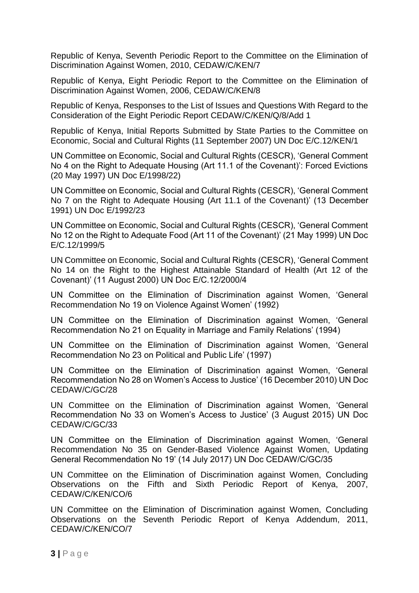Republic of Kenya, Seventh Periodic Report to the Committee on the Elimination of Discrimination Against Women, 2010, CEDAW/C/KEN/7

Republic of Kenya, Eight Periodic Report to the Committee on the Elimination of Discrimination Against Women, 2006, CEDAW/C/KEN/8

Republic of Kenya, Responses to the List of Issues and Questions With Regard to the Consideration of the Eight Periodic Report CEDAW/C/KEN/Q/8/Add 1

Republic of Kenya, Initial Reports Submitted by State Parties to the Committee on Economic, Social and Cultural Rights (11 September 2007) UN Doc E/C.12/KEN/1

UN Committee on Economic, Social and Cultural Rights (CESCR), 'General Comment No 4 on the Right to Adequate Housing (Art 11.1 of the Covenant)': Forced Evictions (20 May 1997) UN Doc E/1998/22)

UN Committee on Economic, Social and Cultural Rights (CESCR), 'General Comment No 7 on the Right to Adequate Housing (Art 11.1 of the Covenant)' (13 December 1991) UN Doc E/1992/23

UN Committee on Economic, Social and Cultural Rights (CESCR), 'General Comment No 12 on the Right to Adequate Food (Art 11 of the Covenant)' (21 May 1999) UN Doc E/C.12/1999/5

UN Committee on Economic, Social and Cultural Rights (CESCR), 'General Comment No 14 on the Right to the Highest Attainable Standard of Health (Art 12 of the Covenant)' (11 August 2000) UN Doc E/C.12/2000/4

UN Committee on the Elimination of Discrimination against Women, 'General Recommendation No 19 on Violence Against Women' (1992)

UN Committee on the Elimination of Discrimination against Women, 'General Recommendation No 21 on Equality in Marriage and Family Relations' (1994)

UN Committee on the Elimination of Discrimination against Women, 'General Recommendation No 23 on Political and Public Life' (1997)

UN Committee on the Elimination of Discrimination against Women, 'General Recommendation No 28 on Women's Access to Justice' (16 December 2010) UN Doc CEDAW/C/GC/28

UN Committee on the Elimination of Discrimination against Women, 'General Recommendation No 33 on Women's Access to Justice' (3 August 2015) UN Doc CEDAW/C/GC/33

UN Committee on the Elimination of Discrimination against Women, 'General Recommendation No 35 on Gender-Based Violence Against Women, Updating General Recommendation No 19' (14 July 2017) UN Doc CEDAW/C/GC/35

UN Committee on the Elimination of Discrimination against Women, Concluding Observations on the Fifth and Sixth Periodic Report of Kenya, 2007, CEDAW/C/KEN/CO/6

UN Committee on the Elimination of Discrimination against Women, Concluding Observations on the Seventh Periodic Report of Kenya Addendum, 2011, CEDAW/C/KEN/CO/7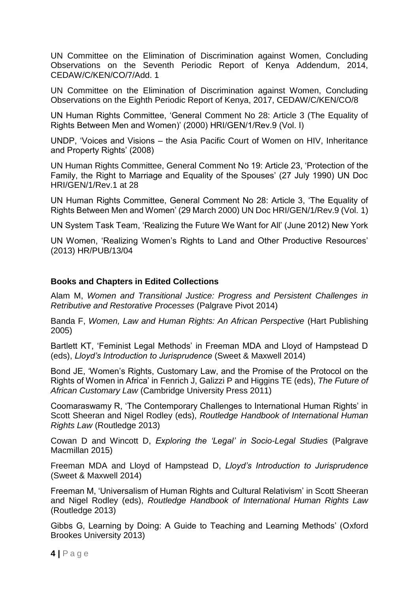UN Committee on the Elimination of Discrimination against Women, Concluding Observations on the Seventh Periodic Report of Kenya Addendum, 2014, CEDAW/C/KEN/CO/7/Add. 1

UN Committee on the Elimination of Discrimination against Women, Concluding Observations on the Eighth Periodic Report of Kenya, 2017, CEDAW/C/KEN/CO/8

UN Human Rights Committee, 'General Comment No 28: Article 3 (The Equality of Rights Between Men and Women)' (2000) HRI/GEN/1/Rev.9 (Vol. I)

UNDP, 'Voices and Visions – the Asia Pacific Court of Women on HIV, Inheritance and Property Rights' (2008)

UN Human Rights Committee, General Comment No 19: Article 23, 'Protection of the Family, the Right to Marriage and Equality of the Spouses' (27 July 1990) UN Doc HRI/GEN/1/Rev.1 at 28

UN Human Rights Committee, General Comment No 28: Article 3, 'The Equality of Rights Between Men and Women' (29 March 2000) UN Doc HRI/GEN/1/Rev.9 (Vol. 1)

UN System Task Team, 'Realizing the Future We Want for All' (June 2012) New York

UN Women, 'Realizing Women's Rights to Land and Other Productive Resources' (2013) HR/PUB/13/04

## **Books and Chapters in Edited Collections**

Alam M, *Women and Transitional Justice: Progress and Persistent Challenges in Retributive and Restorative Processes* (Palgrave Pivot 2014)

Banda F, *Women, Law and Human Rights: An African Perspective* (Hart Publishing 2005)

Bartlett KT, 'Feminist Legal Methods' in Freeman MDA and Lloyd of Hampstead D (eds), *Lloyd's Introduction to Jurisprudence* (Sweet & Maxwell 2014)

Bond JE, 'Women's Rights, Customary Law, and the Promise of the Protocol on the Rights of Women in Africa' in Fenrich J, Galizzi P and Higgins TE (eds), *The Future of African Customary Law* (Cambridge University Press 2011)

Coomaraswamy R, 'The Contemporary Challenges to International Human Rights' in Scott Sheeran and Nigel Rodley (eds), *Routledge Handbook of International Human Rights Law* (Routledge 2013)

Cowan D and Wincott D, *Exploring the 'Legal' in Socio-Legal Studies* (Palgrave Macmillan 2015)

Freeman MDA and Lloyd of Hampstead D, *Lloyd's Introduction to Jurisprudence* (Sweet & Maxwell 2014)

Freeman M, 'Universalism of Human Rights and Cultural Relativism' in Scott Sheeran and Nigel Rodley (eds), *Routledge Handbook of International Human Rights Law*  (Routledge 2013)

Gibbs G, Learning by Doing: A Guide to Teaching and Learning Methods' (Oxford Brookes University 2013)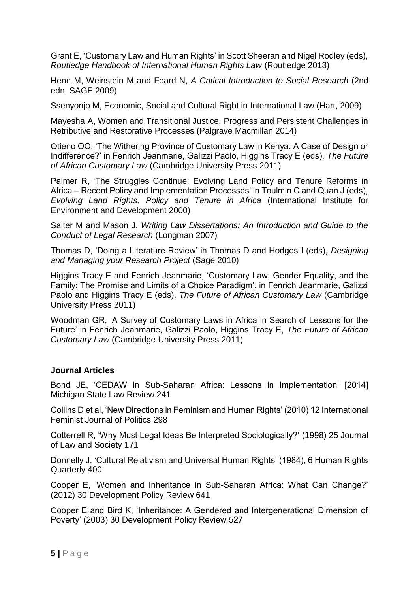Grant E, 'Customary Law and Human Rights' in Scott Sheeran and Nigel Rodley (eds), *Routledge Handbook of International Human Rights Law* (Routledge 2013)

Henn M, Weinstein M and Foard N, *A Critical Introduction to Social Research* (2nd edn, SAGE 2009)

Ssenyonjo M, Economic, Social and Cultural Right in International Law (Hart, 2009)

Mayesha A, Women and Transitional Justice, Progress and Persistent Challenges in Retributive and Restorative Processes (Palgrave Macmillan 2014)

Otieno OO, 'The Withering Province of Customary Law in Kenya: A Case of Design or Indifference?' in Fenrich Jeanmarie, Galizzi Paolo, Higgins Tracy E (eds), *The Future of African Customary Law* (Cambridge University Press 2011)

Palmer R, 'The Struggles Continue: Evolving Land Policy and Tenure Reforms in Africa – Recent Policy and Implementation Processes' in Toulmin C and Quan J (eds), *Evolving Land Rights, Policy and Tenure in Africa* (International Institute for Environment and Development 2000)

Salter M and Mason J, *Writing Law Dissertations: An Introduction and Guide to the Conduct of Legal Research* (Longman 2007)

Thomas D, 'Doing a Literature Review' in Thomas D and Hodges I (eds), *Designing and Managing your Research Project* (Sage 2010)

Higgins Tracy E and Fenrich Jeanmarie, 'Customary Law, Gender Equality, and the Family: The Promise and Limits of a Choice Paradigm', in Fenrich Jeanmarie, Galizzi Paolo and Higgins Tracy E (eds), *The Future of African Customary Law* (Cambridge University Press 2011)

Woodman GR, 'A Survey of Customary Laws in Africa in Search of Lessons for the Future' in Fenrich Jeanmarie, Galizzi Paolo, Higgins Tracy E, *The Future of African Customary Law* (Cambridge University Press 2011)

## **Journal Articles**

Bond JE, 'CEDAW in Sub-Saharan Africa: Lessons in Implementation' [2014] Michigan State Law Review 241

Collins D et al, 'New Directions in Feminism and Human Rights' (2010) 12 International Feminist Journal of Politics 298

Cotterrell R, 'Why Must Legal Ideas Be Interpreted Sociologically?' (1998) 25 Journal of Law and Society 171

Donnelly J, 'Cultural Relativism and Universal Human Rights' (1984), 6 Human Rights Quarterly 400

Cooper E, 'Women and Inheritance in Sub-Saharan Africa: What Can Change?' (2012) 30 Development Policy Review 641

Cooper E and Bird K, 'Inheritance: A Gendered and Intergenerational Dimension of Poverty' (2003) 30 Development Policy Review 527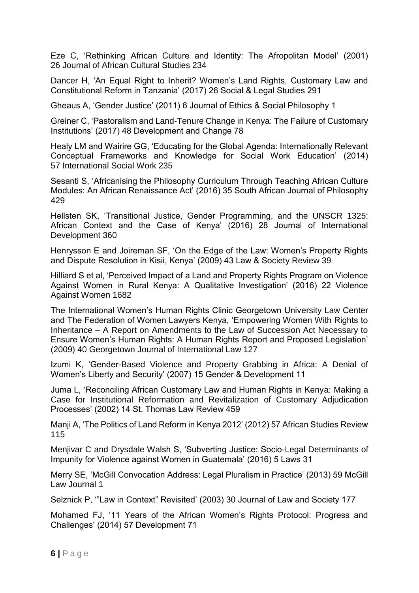Eze C, 'Rethinking African Culture and Identity: The Afropolitan Model' (2001) 26 Journal of African Cultural Studies 234

Dancer H, 'An Equal Right to Inherit? Women's Land Rights, Customary Law and Constitutional Reform in Tanzania' (2017) 26 Social & Legal Studies 291

Gheaus A, 'Gender Justice' (2011) 6 Journal of Ethics & Social Philosophy 1

Greiner C, 'Pastoralism and Land-Tenure Change in Kenya: The Failure of Customary Institutions' (2017) 48 Development and Change 78

Healy LM and Wairire GG, 'Educating for the Global Agenda: Internationally Relevant Conceptual Frameworks and Knowledge for Social Work Education' (2014) 57 International Social Work 235

Sesanti S, 'Africanising the Philosophy Curriculum Through Teaching African Culture Modules: An African Renaissance Act' (2016) 35 South African Journal of Philosophy 429

Hellsten SK, 'Transitional Justice, Gender Programming, and the UNSCR 1325: African Context and the Case of Kenya' (2016) 28 Journal of International Development 360

Henrysson E and Joireman SF, 'On the Edge of the Law: Women's Property Rights and Dispute Resolution in Kisii, Kenya' (2009) 43 Law & Society Review 39

Hilliard S et al, 'Perceived Impact of a Land and Property Rights Program on Violence Against Women in Rural Kenya: A Qualitative Investigation' (2016) 22 Violence Against Women 1682

The International Women's Human Rights Clinic Georgetown University Law Center and The Federation of Women Lawyers Kenya, 'Empowering Women With Rights to Inheritance – A Report on Amendments to the Law of Succession Act Necessary to Ensure Women's Human Rights: A Human Rights Report and Proposed Legislation' (2009) 40 Georgetown Journal of International Law 127

Izumi K, 'Gender-Based Violence and Property Grabbing in Africa: A Denial of Women's Liberty and Security' (2007) 15 Gender & Development 11

Juma L, 'Reconciling African Customary Law and Human Rights in Kenya: Making a Case for Institutional Reformation and Revitalization of Customary Adjudication Processes' (2002) 14 St. Thomas Law Review 459

Manji A, 'The Politics of Land Reform in Kenya 2012' (2012) 57 African Studies Review 115

Menjivar C and Drysdale Walsh S, 'Subverting Justice: Socio-Legal Determinants of Impunity for Violence against Women in Guatemala' (2016) 5 Laws 31

Merry SE, 'McGill Convocation Address: Legal Pluralism in Practice' (2013) 59 McGill Law Journal 1

Selznick P, '"Law in Context" Revisited' (2003) 30 Journal of Law and Society 177

Mohamed FJ, '11 Years of the African Women's Rights Protocol: Progress and Challenges' (2014) 57 Development 71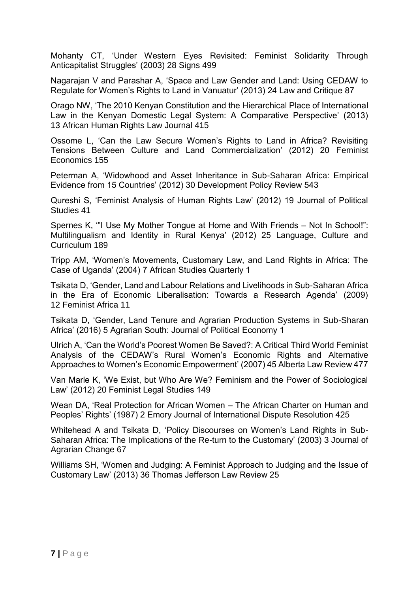Mohanty CT, 'Under Western Eyes Revisited: Feminist Solidarity Through Anticapitalist Struggles' (2003) 28 Signs 499

Nagarajan V and Parashar A, 'Space and Law Gender and Land: Using CEDAW to Regulate for Women's Rights to Land in Vanuatur' (2013) 24 Law and Critique 87

Orago NW, 'The 2010 Kenyan Constitution and the Hierarchical Place of International Law in the Kenyan Domestic Legal System: A Comparative Perspective' (2013) 13 African Human Rights Law Journal 415

Ossome L, 'Can the Law Secure Women's Rights to Land in Africa? Revisiting Tensions Between Culture and Land Commercialization' (2012) 20 Feminist Economics 155

Peterman A, 'Widowhood and Asset Inheritance in Sub-Saharan Africa: Empirical Evidence from 15 Countries' (2012) 30 Development Policy Review 543

Qureshi S, 'Feminist Analysis of Human Rights Law' (2012) 19 Journal of Political Studies 41

Spernes K, '"I Use My Mother Tongue at Home and With Friends – Not In School!": Multilingualism and Identity in Rural Kenya' (2012) 25 Language, Culture and Curriculum 189

Tripp AM, 'Women's Movements, Customary Law, and Land Rights in Africa: The Case of Uganda' (2004) 7 African Studies Quarterly 1

Tsikata D, 'Gender, Land and Labour Relations and Livelihoods in Sub-Saharan Africa in the Era of Economic Liberalisation: Towards a Research Agenda' (2009) 12 Feminist Africa 11

Tsikata D, 'Gender, Land Tenure and Agrarian Production Systems in Sub-Sharan Africa' (2016) 5 Agrarian South: Journal of Political Economy 1

Ulrich A, 'Can the World's Poorest Women Be Saved?: A Critical Third World Feminist Analysis of the CEDAW's Rural Women's Economic Rights and Alternative Approaches to Women's Economic Empowerment' (2007) 45 Alberta Law Review 477

Van Marle K, 'We Exist, but Who Are We? Feminism and the Power of Sociological Law' (2012) 20 Feminist Legal Studies 149

Wean DA, 'Real Protection for African Women – The African Charter on Human and Peoples' Rights' (1987) 2 Emory Journal of International Dispute Resolution 425

Whitehead A and Tsikata D. 'Policy Discourses on Women's Land Rights in Sub-Saharan Africa: The Implications of the Re-turn to the Customary' (2003) 3 Journal of Agrarian Change 67

Williams SH, 'Women and Judging: A Feminist Approach to Judging and the Issue of Customary Law' (2013) 36 Thomas Jefferson Law Review 25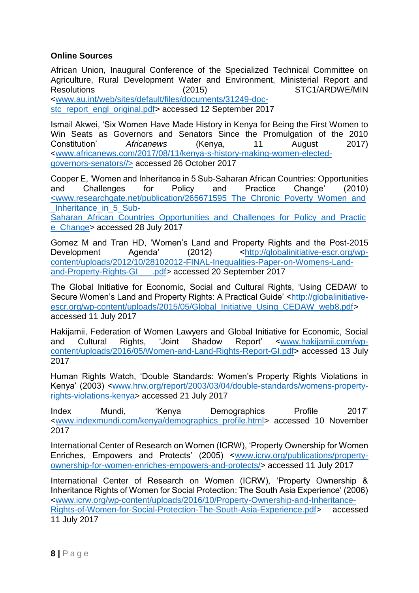## **Online Sources**

African Union, Inaugural Conference of the Specialized Technical Committee on Agriculture, Rural Development Water and Environment, Ministerial Report and Resolutions (2015) STC1/ARDWE/MIN [<www.au.int/web/sites/default/files/documents/31249-doc](http://www.au.int/web/sites/default/files/documents/31249-doc-stc_report_engl_original.pdf)[stc\\_report\\_engl\\_original.pdf>](http://www.au.int/web/sites/default/files/documents/31249-doc-stc_report_engl_original.pdf) accessed 12 September 2017

Ismail Akwei, 'Six Women Have Made History in Kenya for Being the First Women to Win Seats as Governors and Senators Since the Promulgation of the 2010 Constitution' *Africanews* (Kenya, 11 August 2017) <www.africanews.com/2017/08/11/kenya-s-history-making-women-electedgovernors-senators//> accessed 26 October 2017

Cooper E, 'Women and Inheritance in 5 Sub-Saharan African Countries: Opportunities and Challenges for Policy and Practice Change' (2010) <www.researchgate.net/publication/265671595\_The\_Chronic\_Poverty\_Women\_and Inheritance in 5 Sub-

Saharan\_African\_Countries\_Opportunities\_and\_Challenges\_for\_Policy\_and\_Practic e\_Change> accessed 28 July 2017

Gomez M and Tran HD, 'Women's Land and Property Rights and the Post-2015 Development Agenda' (2012) [<http://globalinitiative-escr.org/wp](http://globalinitiative-escr.org/wp-content/uploads/2012/10/28102012-FINAL-Inequalities-Paper-on-Womens-Land-and-Property-Rights-GI___.pdf)[content/uploads/2012/10/28102012-FINAL-Inequalities-Paper-on-Womens-Land](http://globalinitiative-escr.org/wp-content/uploads/2012/10/28102012-FINAL-Inequalities-Paper-on-Womens-Land-and-Property-Rights-GI___.pdf)[and-Property-Rights-GI\\_\\_\\_.pdf>](http://globalinitiative-escr.org/wp-content/uploads/2012/10/28102012-FINAL-Inequalities-Paper-on-Womens-Land-and-Property-Rights-GI___.pdf) accessed 20 September 2017

The Global Initiative for Economic, Social and Cultural Rights, 'Using CEDAW to Secure Women's Land and Property Rights: A Practical Guide' [<http://globalinitiative](http://globalinitiative-escr.org/wp-content/uploads/2015/05/Global_Initiative_Using_CEDAW_web8.pdf)[escr.org/wp-content/uploads/2015/05/Global\\_Initiative\\_Using\\_CEDAW\\_web8.pdf>](http://globalinitiative-escr.org/wp-content/uploads/2015/05/Global_Initiative_Using_CEDAW_web8.pdf) accessed 11 July 2017

Hakijamii, Federation of Women Lawyers and Global Initiative for Economic, Social and Cultural Rights, 'Joint Shadow Report' [<www.hakijamii.com/wp](http://www.hakijamii.com/wp-content/uploads/2016/05/Women-and-Land-Rights-Report-GI.pdf)[content/uploads/2016/05/Women-and-Land-Rights-Report-GI.pdf>](http://www.hakijamii.com/wp-content/uploads/2016/05/Women-and-Land-Rights-Report-GI.pdf) accessed 13 July 2017

Human Rights Watch, 'Double Standards: Women's Property Rights Violations in Kenya' (2003) [<www.hrw.org/report/2003/03/04/double-standards/womens-property](http://www.hrw.org/report/2003/03/04/double-standards/womens-property-rights-violations-kenya)[rights-violations-kenya>](http://www.hrw.org/report/2003/03/04/double-standards/womens-property-rights-violations-kenya) accessed 21 July 2017

Index Mundi, 'Kenya Demographics Profile 2017' [<www.indexmundi.com/kenya/demographics\\_profile.html>](http://www.indexmundi.com/kenya/demographics_profile.html) accessed 10 November 2017

International Center of Research on Women (ICRW), 'Property Ownership for Women Enriches, Empowers and Protects' (2005) [<www.icrw.org/publications/property](http://www.icrw.org/publications/property-ownership-for-women-enriches-empowers-and-protects/)[ownership-for-women-enriches-empowers-and-protects/>](http://www.icrw.org/publications/property-ownership-for-women-enriches-empowers-and-protects/) accessed 11 July 2017

International Center of Research on Women (ICRW), 'Property Ownership & Inheritance Rights of Women for Social Protection: The South Asia Experience' (2006) [<www.icrw.org/wp-content/uploads/2016/10/Property-Ownership-and-Inheritance-](http://www.icrw.org/wp-content/uploads/2016/10/Property-Ownership-and-Inheritance-Rights-of-Women-for-Social-Protection-The-South-Asia-Experience.pdf)[Rights-of-Women-for-Social-Protection-The-South-Asia-Experience.pdf>](http://www.icrw.org/wp-content/uploads/2016/10/Property-Ownership-and-Inheritance-Rights-of-Women-for-Social-Protection-The-South-Asia-Experience.pdf) accessed 11 July 2017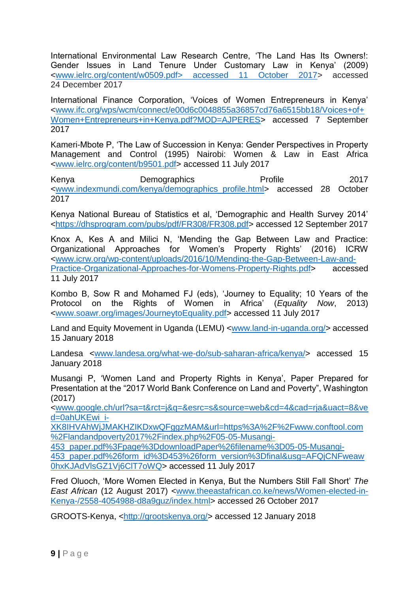International Environmental Law Research Centre, 'The Land Has Its Owners!: Gender Issues in Land Tenure Under Customary Law in Kenya' (2009) [<www.ielrc.org/content/w0509.pdf>](http://www.ielrc.org/content/w0509.pdf) accessed 11 October 2017> accessed 24 December 2017

International Finance Corporation, 'Voices of Women Entrepreneurs in Kenya' [<www.ifc.org/wps/wcm/connect/e00d6c0048855a36857cd76a6515bb18/Voices+of+](http://www.ifc.org/wps/wcm/connect/e00d6c0048855a36857cd76a6515bb18/Voices+of+Women+Entrepreneurs+in+Kenya.pdf?MOD=AJPERES) [Women+Entrepreneurs+in+Kenya.pdf?MOD=AJPERES>](http://www.ifc.org/wps/wcm/connect/e00d6c0048855a36857cd76a6515bb18/Voices+of+Women+Entrepreneurs+in+Kenya.pdf?MOD=AJPERES) accessed 7 September 2017

Kameri-Mbote P, 'The Law of Succession in Kenya: Gender Perspectives in Property Management and Control (1995) Nairobi: Women & Law in East Africa <www.ielrc.org/content/b9501.pdf> accessed 11 July 2017

Kenya Demographics Profile 2017 [<www.indexmundi.com/kenya/demographics\\_profile.html>](http://www.indexmundi.com/kenya/demographics_profile.html) accessed 28 October 2017

Kenya National Bureau of Statistics et al, 'Demographic and Health Survey 2014' [<https://dhsprogram.com/pubs/pdf/FR308/FR308.pdf>](https://dhsprogram.com/pubs/pdf/FR308/FR308.pdf) accessed 12 September 2017

Knox A, Kes A and Milici N, 'Mending the Gap Between Law and Practice: Organizational Approaches for Women's Property Rights' (2016) ICRW [<www.icrw.org/wp-content/uploads/2016/10/Mending-the-Gap-Between-Law-and-](http://www.icrw.org/wp-content/uploads/2016/10/Mending-the-Gap-Between-Law-and-Practice-Organizational-Approaches-for-Womens-Property-Rights.pdf)[Practice-Organizational-Approaches-for-Womens-Property-Rights.pdf>](http://www.icrw.org/wp-content/uploads/2016/10/Mending-the-Gap-Between-Law-and-Practice-Organizational-Approaches-for-Womens-Property-Rights.pdf) accessed 11 July 2017

Kombo B, Sow R and Mohamed FJ (eds), 'Journey to Equality; 10 Years of the Protocol on the Rights of Women in Africa' (*Equality Now*, 2013) [<www.soawr.org/images/JourneytoEquality.pdf>](http://www.soawr.org/images/JourneytoEquality.pdf) accessed 11 July 2017

Land and Equity Movement in Uganda (LEMU) [<www.land-in-uganda.org/>](http://www.land-in-uganda.org/) accessed 15 January 2018

Landesa [<www.landesa.org/what-we-do/sub-saharan-africa/kenya/>](http://www.landesa.org/what-we-do/sub-saharan-africa/kenya/) accessed 15 January 2018

Musangi P, 'Women Land and Property Rights in Kenya', Paper Prepared for Presentation at the "2017 World Bank Conference on Land and Poverty", Washington (2017)

[<www.google.ch/url?sa=t&rct=j&q=&esrc=s&source=web&cd=4&cad=rja&uact=8&ve](http://www.google.ch/url?sa=t&rct=j&q=&esrc=s&source=web&cd=4&cad=rja&uact=8&ved=0ahUKEwi_i-XK8IHVAhWjJMAKHZIKDxwQFggzMAM&url=https%3A%2F%2Fwww.conftool.com%2Flandandpoverty2017%2Findex.php%2F05-05-Musangi-453_paper.pdf%3Fpage%3DdownloadPaper%26filename%3D05-05-Musangi-453_paper.pdf%26form_id%3D453%26form_version%3Dfinal&usg=AFQjCNFweaw0hxKJAdVlsGZ1Vj6ClT7oWQ) [d=0ahUKEwi\\_i-](http://www.google.ch/url?sa=t&rct=j&q=&esrc=s&source=web&cd=4&cad=rja&uact=8&ved=0ahUKEwi_i-XK8IHVAhWjJMAKHZIKDxwQFggzMAM&url=https%3A%2F%2Fwww.conftool.com%2Flandandpoverty2017%2Findex.php%2F05-05-Musangi-453_paper.pdf%3Fpage%3DdownloadPaper%26filename%3D05-05-Musangi-453_paper.pdf%26form_id%3D453%26form_version%3Dfinal&usg=AFQjCNFweaw0hxKJAdVlsGZ1Vj6ClT7oWQ)

[XK8IHVAhWjJMAKHZIKDxwQFggzMAM&url=https%3A%2F%2Fwww.conftool.com](http://www.google.ch/url?sa=t&rct=j&q=&esrc=s&source=web&cd=4&cad=rja&uact=8&ved=0ahUKEwi_i-XK8IHVAhWjJMAKHZIKDxwQFggzMAM&url=https%3A%2F%2Fwww.conftool.com%2Flandandpoverty2017%2Findex.php%2F05-05-Musangi-453_paper.pdf%3Fpage%3DdownloadPaper%26filename%3D05-05-Musangi-453_paper.pdf%26form_id%3D453%26form_version%3Dfinal&usg=AFQjCNFweaw0hxKJAdVlsGZ1Vj6ClT7oWQ) [%2Flandandpoverty2017%2Findex.php%2F05-05-Musangi-](http://www.google.ch/url?sa=t&rct=j&q=&esrc=s&source=web&cd=4&cad=rja&uact=8&ved=0ahUKEwi_i-XK8IHVAhWjJMAKHZIKDxwQFggzMAM&url=https%3A%2F%2Fwww.conftool.com%2Flandandpoverty2017%2Findex.php%2F05-05-Musangi-453_paper.pdf%3Fpage%3DdownloadPaper%26filename%3D05-05-Musangi-453_paper.pdf%26form_id%3D453%26form_version%3Dfinal&usg=AFQjCNFweaw0hxKJAdVlsGZ1Vj6ClT7oWQ)

[453\\_paper.pdf%3Fpage%3DdownloadPaper%26filename%3D05-05-Musangi-](http://www.google.ch/url?sa=t&rct=j&q=&esrc=s&source=web&cd=4&cad=rja&uact=8&ved=0ahUKEwi_i-XK8IHVAhWjJMAKHZIKDxwQFggzMAM&url=https%3A%2F%2Fwww.conftool.com%2Flandandpoverty2017%2Findex.php%2F05-05-Musangi-453_paper.pdf%3Fpage%3DdownloadPaper%26filename%3D05-05-Musangi-453_paper.pdf%26form_id%3D453%26form_version%3Dfinal&usg=AFQjCNFweaw0hxKJAdVlsGZ1Vj6ClT7oWQ)

[453\\_paper.pdf%26form\\_id%3D453%26form\\_version%3Dfinal&usg=AFQjCNFweaw](http://www.google.ch/url?sa=t&rct=j&q=&esrc=s&source=web&cd=4&cad=rja&uact=8&ved=0ahUKEwi_i-XK8IHVAhWjJMAKHZIKDxwQFggzMAM&url=https%3A%2F%2Fwww.conftool.com%2Flandandpoverty2017%2Findex.php%2F05-05-Musangi-453_paper.pdf%3Fpage%3DdownloadPaper%26filename%3D05-05-Musangi-453_paper.pdf%26form_id%3D453%26form_version%3Dfinal&usg=AFQjCNFweaw0hxKJAdVlsGZ1Vj6ClT7oWQ) [0hxKJAdVlsGZ1Vj6ClT7oWQ>](http://www.google.ch/url?sa=t&rct=j&q=&esrc=s&source=web&cd=4&cad=rja&uact=8&ved=0ahUKEwi_i-XK8IHVAhWjJMAKHZIKDxwQFggzMAM&url=https%3A%2F%2Fwww.conftool.com%2Flandandpoverty2017%2Findex.php%2F05-05-Musangi-453_paper.pdf%3Fpage%3DdownloadPaper%26filename%3D05-05-Musangi-453_paper.pdf%26form_id%3D453%26form_version%3Dfinal&usg=AFQjCNFweaw0hxKJAdVlsGZ1Vj6ClT7oWQ) accessed 11 July 2017

Fred Oluoch, 'More Women Elected in Kenya, But the Numbers Still Fall Short' *The East African* (12 August 2017) <www.theeastafrican.co.ke/news/Women-elected-in-Kenya-/2558-4054988-d8a9guz/index.html> accessed 26 October 2017

GROOTS-Kenya, [<http://grootskenya.org/>](http://grootskenya.org/) accessed 12 January 2018